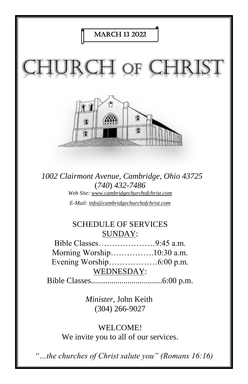

*1002 Clairmont Avenue, Cambridge, Ohio 43725* (*740*) *432-7486 Web Site: www.cambridgechurchofchrist.com E-Mail: info@cambridgechurchofchrist.com*

## SCHEDULE OF SERVICES SUNDAY:

Bible Classes…………………9:45 a.m. Morning Worship…………….10:30 a.m. Evening Worship………………6:00 p.m. WEDNESDAY:

Bible Classes...................................6:00 p.m.

*Minister,* John Keith (304) 266-9027

WELCOME! We invite you to all of our services.

*"…the churches of Christ salute you" (Romans 16:16)*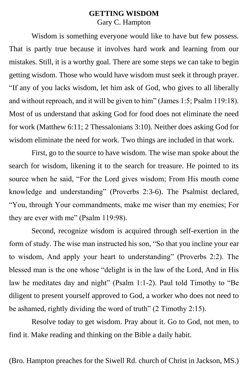### **GETTING WISDOM** Gary C. Hampton

Wisdom is something everyone would like to have but few possess. That is partly true because it involves hard work and learning from our mistakes. Still, it is a worthy goal. There are some steps we can take to begin getting wisdom. Those who would have wisdom must seek it through prayer. "If any of you lacks wisdom, let him ask of God, who gives to all liberally and without reproach, and it will be given to him" (James 1:5; Psalm 119:18). Most of us understand that asking God for food does not eliminate the need for work (Matthew 6:11; 2 Thessalonians 3:10). Neither does asking God for wisdom eliminate the need for work. Two things are included in that work.

First, go to the source to have wisdom. The wise man spoke about the search for wisdom, likening it to the search for treasure. He pointed to its source when he said, "For the Lord gives wisdom; From His mouth come knowledge and understanding" (Proverbs 2:3-6). The Psalmist declared, "You, through Your commandments, make me wiser than my enemies; For they are ever with me" (Psalm 119:98).

Second, recognize wisdom is acquired through self-exertion in the form of study. The wise man instructed his son, "So that you incline your ear to wisdom, And apply your heart to understanding" (Proverbs 2:2). The blessed man is the one whose "delight is in the law of the Lord, And in His law he meditates day and night" (Psalm 1:1-2). Paul told Timothy to "Be diligent to present yourself approved to God, a worker who does not need to be ashamed, rightly dividing the word of truth" (2 Timothy 2:15).

Resolve today to get wisdom. Pray about it. Go to God, not men, to find it. Make reading and thinking on the Bible a daily habit.

(Bro. Hampton preaches for the Siwell Rd. church of Christ in Jackson, MS.)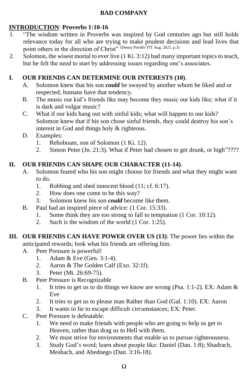#### **BAD COMPANY**

#### **INTRODUCTION**: **Proverbs 1:10-16**

- 1. "The wisdom written in Proverbs was inspired by God centuries ago but still holds relevance today for all who are trying to make prudent decisions and lead lives that point others in the direction of Christ<sup>"</sup> (Denny Petrillo TfT Aug. 2021, p.3)
- 2. Solomon, the wisest mortal to ever live (1 Ki. 3:12) had many important topics to teach, but he felt the need to start by addressing issues regarding one's associates.

#### **I. OUR FRIENDS CAN DETERMINE OUR INTERESTS (10)**.

- A. Solomon knew that his son *could* be swayed by another whom he liked and or respected; humans have that tendency.
- B. The music our kid's friends like may become they music our kids like; what if it is dark and vulgar music?
- C. What if our kids hang out with sinful kids; what will happen to our kids? Solomon knew that if his son chose sinful friends, they could destroy his son's interest in God and things holy & righteous.
- D. Examples:
	- 1. Rehoboam, son of Solomon (1 Ki. 12).
	- 2. Simon Peter (Jn. 21:3). What if Peter had chosen to get drunk, or high"????

#### **II. OUR FRIENDS CAN SHAPE OUR CHARACTER (11-14)**.

- A. Solomon feared who his son might choose for friends and what they might want to do.
	- 1. Robbing and shed innocent blood (11; cf. 6:17).
	- 2. How does one come to be this way?
	- 3. Solomon knew his son *could* become like them.
- B. Paul had an inspired piece of advice: (1 Cor. 15:33).
	- 1. Some think they are too strong to fall to temptation (1 Cor. 10:12).
	- 2. Such is the wisdom of the world (1 Cor. 1:25).
- **III. OUR FRIENDS CAN HAVE POWER OVER US (13)**: The power lies within the anticipated rewards; look what his friends are offering him.
	- A. Peer Pressure is powerful!
		- 1. Adam & Eve (Gen. 3:1-4).
		- 2. Aaron & The Golden Calf (Exo. 32:1f).
		- 3. Peter (Mt. 26:69-75).
	- B. Peer Pressure is Recognizable
		- 1. It tries to get us to do things we know are wrong (Psa. 1:1-2). EX: Adam  $\&$ Eve
		- 2. It tries to get us to please man Rather than God (Gal. 1:10). EX: Aaron
		- 3. It wants to lie to escape difficult circumstances; EX: Peter.
	- C. Peer Pressure is defeatable.
		- 1. We need to make friends with people who are going to help us get to Heaven, rather than drag us to Hell with them.
		- 2. We must strive for environments that enable us to pursue righteousness.
		- 3. Study God's word; learn about people like: Daniel (Dan. 1:8); Shadrach, Meshach, and Abednego (Dan. 3:16-18).